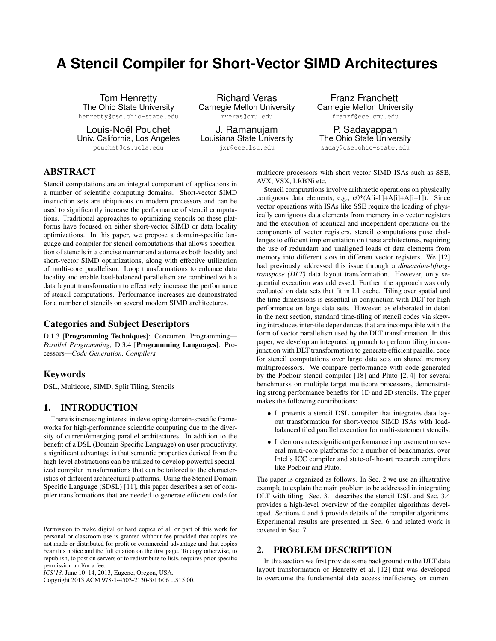# **A Stencil Compiler for Short-Vector SIMD Architectures**

Tom Henretty The Ohio State University henretty@cse.ohio-state.edu

Louis-Noël Pouchet Univ. California, Los Angeles pouchet@cs.ucla.edu

Richard Veras Carnegie Mellon University rveras@cmu.edu

J. Ramanujam Louisiana State University jxr@ece.lsu.edu

Franz Franchetti Carnegie Mellon University franzf@ece.cmu.edu

P. Sadayappan The Ohio State University saday@cse.ohio-state.edu

# ABSTRACT

Stencil computations are an integral component of applications in a number of scientific computing domains. Short-vector SIMD instruction sets are ubiquitous on modern processors and can be used to significantly increase the performance of stencil computations. Traditional approaches to optimizing stencils on these platforms have focused on either short-vector SIMD or data locality optimizations. In this paper, we propose a domain-specific language and compiler for stencil computations that allows specification of stencils in a concise manner and automates both locality and short-vector SIMD optimizations, along with effective utilization of multi-core parallelism. Loop transformations to enhance data locality and enable load-balanced parallelism are combined with a data layout transformation to effectively increase the performance of stencil computations. Performance increases are demonstrated for a number of stencils on several modern SIMD architectures.

# Categories and Subject Descriptors

D.1.3 [Programming Techniques]: Concurrent Programming— *Parallel Programming*; D.3.4 [Programming Languages]: Processors—*Code Generation, Compilers*

#### Keywords

DSL, Multicore, SIMD, Split Tiling, Stencils

# 1. INTRODUCTION

There is increasing interest in developing domain-specific frameworks for high-performance scientific computing due to the diversity of current/emerging parallel architectures. In addition to the benefit of a DSL (Domain Specific Language) on user productivity, a significant advantage is that semantic properties derived from the high-level abstractions can be utilized to develop powerful specialized compiler transformations that can be tailored to the characteristics of different architectural platforms. Using the Stencil Domain Specific Language (SDSL) [11], this paper describes a set of compiler transformations that are needed to generate efficient code for

Copyright 2013 ACM 978-1-4503-2130-3/13/06 ...\$15.00.

multicore processors with short-vector SIMD ISAs such as SSE, AVX, VSX, LRBNi etc.

Stencil computations involve arithmetic operations on physically contiguous data elements, e.g.,  $c0*(A[i-1]+A[i]+A[i+1])$ . Since vector operations with ISAs like SSE require the loading of physically contiguous data elements from memory into vector registers and the execution of identical and independent operations on the components of vector registers, stencil computations pose challenges to efficient implementation on these architectures, requiring the use of redundant and unaligned loads of data elements from memory into different slots in different vector registers. We [12] had previously addressed this issue through a *dimension-liftingtranspose (DLT)* data layout transformation. However, only sequential execution was addressed. Further, the approach was only evaluated on data sets that fit in L1 cache. Tiling over spatial and the time dimensions is essential in conjunction with DLT for high performance on large data sets. However, as elaborated in detail in the next section, standard time-tiling of stencil codes via skewing introduces inter-tile dependences that are incompatible with the form of vector parallelism used by the DLT transformation. In this paper, we develop an integrated approach to perform tiling in conjunction with DLT transformation to generate efficient parallel code for stencil computations over large data sets on shared memory multiprocessors. We compare performance with code generated by the Pochoir stencil compiler [18] and Pluto [2, 4] for several benchmarks on multiple target multicore processors, demonstrating strong performance benefits for 1D and 2D stencils. The paper makes the following contributions:

- It presents a stencil DSL compiler that integrates data layout transformation for short-vector SIMD ISAs with loadbalanced tiled parallel execution for multi-statement stencils.
- It demonstrates significant performance improvement on several multi-core platforms for a number of benchmarks, over Intel's ICC compiler and state-of-the-art research compilers like Pochoir and Pluto.

The paper is organized as follows. In Sec. 2 we use an illustrative example to explain the main problem to be addressed in integrating DLT with tiling. Sec. 3.1 describes the stencil DSL and Sec. 3.4 provides a high-level overview of the compiler algorithms developed. Sections 4 and 5 provide details of the compiler algorithms. Experimental results are presented in Sec. 6 and related work is covered in Sec. 7.

# 2. PROBLEM DESCRIPTION

In this section we first provide some background on the DLT data layout transformation of Henretty et al. [12] that was developed to overcome the fundamental data access inefficiency on current

Permission to make digital or hard copies of all or part of this work for personal or classroom use is granted without fee provided that copies are not made or distributed for profit or commercial advantage and that copies bear this notice and the full citation on the first page. To copy otherwise, to republish, to post on servers or to redistribute to lists, requires prior specific permission and/or a fee.

*ICS'13,* June 10–14, 2013, Eugene, Oregon, USA.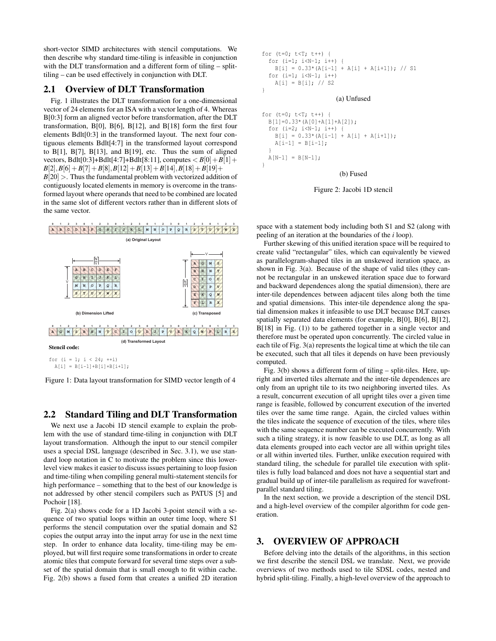short-vector SIMD architectures with stencil computations. We then describe why standard time-tiling is infeasible in conjunction with the DLT transformation and a different form of tiling – splittiling – can be used effectively in conjunction with DLT.

#### 2.1 Overview of DLT Transformation

Fig. 1 illustrates the DLT transformation for a one-dimensional vector of 24 elements for an ISA with a vector length of 4. Whereas B[0:3] form an aligned vector before transformation, after the DLT transformation, B[0], B[6], B[12], and B[18] form the first four elements Bdlt[0:3] in the transformed layout. The next four contiguous elements Bdlt[4:7] in the transformed layout correspond to  $B[1]$ ,  $B[7]$ ,  $B[13]$ , and  $B[19]$ , etc. Thus the sum of aligned vectors, Bdlt[0:3]+Bdlt[4:7]+Bdlt[8:11], computes  $\langle B[0]+B[1]+$  $B[2], B[6] + B[7] + B[8], B[12] + B[13] + B[14], B[18] + B[19] +$  $B[20]$  >. Thus the fundamental problem with vectorized addition of contiguously located elements in memory is overcome in the transformed layout where operands that need to be combined are located in the same slot of different vectors rather than in different slots of the same vector.



Figure 1: Data layout transformation for SIMD vector length of 4

# 2.2 Standard Tiling and DLT Transformation

We next use a Jacobi 1D stencil example to explain the problem with the use of standard time-tiling in conjunction with DLT layout transformation. Although the input to our stencil compiler uses a special DSL language (described in Sec. 3.1), we use standard loop notation in C to motivate the problem since this lowerlevel view makes it easier to discuss issues pertaining to loop fusion and time-tiling when compiling general multi-statement stencils for high performance – something that to the best of our knowledge is not addressed by other stencil compilers such as PATUS [5] and Pochoir [18].

Fig. 2(a) shows code for a 1D Jacobi 3-point stencil with a sequence of two spatial loops within an outer time loop, where S1 performs the stencil computation over the spatial domain and S2 copies the output array into the input array for use in the next time step. In order to enhance data locality, time-tiling may be employed, but will first require some transformations in order to create atomic tiles that compute forward for several time steps over a subset of the spatial domain that is small enough to fit within cache. Fig. 2(b) shows a fused form that creates a unified 2D iteration

```
for (t=0; t < T; t++) {
  for (i=1; i<N-1; i++) {
    B[i] = 0.33*(A[i-1] + A[i] + A[i+1]); // S1
  for (i=1; i< N-1; i++)A[i] = B[i]; // S2}
                       (a) Unfused
for (t=0; t<T; t++) {
```

```
B[1]=0.33*(A[0]+A[1]+A[2]);
 for (i=2; i < N-1; i++) {
   B[i] = 0.33*(A[i-1] + A[i] + A[i+1]);A[i-1] = B[i-1];}
 A[N-1] = B[N-1];}
                        (b) Fused
```
Figure 2: Jacobi 1D stencil

space with a statement body including both S1 and S2 (along with peeling of an iteration at the boundaries of the *i* loop).

Further skewing of this unified iteration space will be required to create valid "rectangular" tiles, which can equivalently be viewed as parallelogram-shaped tiles in an unskewed iteration space, as shown in Fig. 3(a). Because of the shape of valid tiles (they cannot be rectangular in an unskewed iteration space due to forward and backward dependences along the spatial dimension), there are inter-tile dependences between adjacent tiles along both the time and spatial dimensions. This inter-tile dependence along the spatial dimension makes it infeasible to use DLT because DLT causes spatially separated data elements (for example, B[0], B[6], B[12], B[18] in Fig. (1)) to be gathered together in a single vector and therefore must be operated upon concurrently. The circled value in each tile of Fig. 3(a) represents the logical time at which the tile can be executed, such that all tiles it depends on have been previously computed.

Fig. 3(b) shows a different form of tiling – split-tiles. Here, upright and inverted tiles alternate and the inter-tile dependences are only from an upright tile to its two neighboring inverted tiles. As a result, concurrent execution of all upright tiles over a given time range is feasible, followed by concurrent execution of the inverted tiles over the same time range. Again, the circled values within the tiles indicate the sequence of execution of the tiles, where tiles with the same sequence number can be executed concurrently. With such a tiling strategy, it is now feasible to use DLT, as long as all data elements grouped into each vector are all within upright tiles or all within inverted tiles. Further, unlike execution required with standard tiling, the schedule for parallel tile execution with splittiles is fully load balanced and does not have a sequential start and gradual build up of inter-tile parallelism as required for wavefrontparallel standard tiling.

In the next section, we provide a description of the stencil DSL and a high-level overview of the compiler algorithm for code generation.

## 3. OVERVIEW OF APPROACH

Before delving into the details of the algorithms, in this section we first describe the stencil DSL we translate. Next, we provide overviews of two methods used to tile SDSL codes, nested and hybrid split-tiling. Finally, a high-level overview of the approach to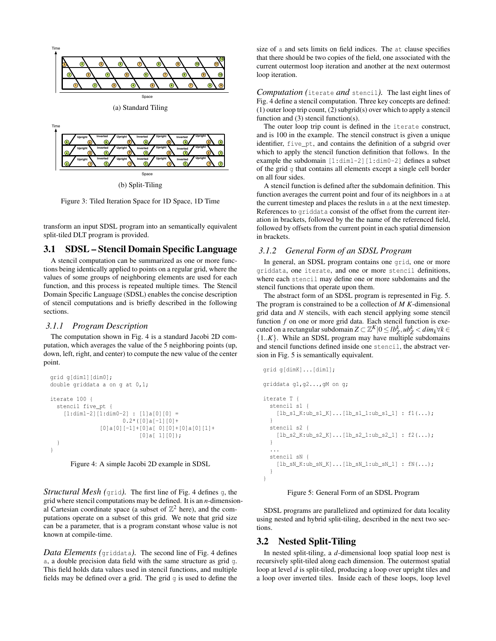

(b) Split-Tiling

Figure 3: Tiled Iteration Space for 1D Space, 1D Time

transform an input SDSL program into an semantically equivalent split-tiled DLT program is provided.

# 3.1 SDSL – Stencil Domain Specific Language

A stencil computation can be summarized as one or more functions being identically applied to points on a regular grid, where the values of some groups of neighboring elements are used for each function, and this process is repeated multiple times. The Stencil Domain Specific Language (SDSL) enables the concise description of stencil computations and is briefly described in the following sections.

#### *3.1.1 Program Description*

The computation shown in Fig. 4 is a standard Jacobi 2D computation, which averages the value of the 5 neighboring points (up, down, left, right, and center) to compute the new value of the center point.

```
grid g[dim1][dim0];
double griddata a on g at 0,1;
iterate 100 {
  stencil five_pt {
    [1:dim1-2][1:dim0-2] : [1]a[0][0] =
                      0.2*(0]a[-1][0]+[0]a[0][-1]+[0]a[0][0]+[0]a[0][1]+
                           [0]a[ 1][0]);
  }
}
```


*Structural Mesh (*grid*).* The first line of Fig. 4 defines <sup>g</sup>, the grid where stencil computations may be defined. It is an *n*-dimensional Cartesian coordinate space (a subset of  $\mathbb{Z}^2$  here), and the computations operate on a subset of this grid. We note that grid size can be a parameter, that is a program constant whose value is not known at compile-time.

*Data Elements (*griddata*).* The second line of Fig. 4 defines a, a double precision data field with the same structure as grid g. This field holds data values used in stencil functions, and multiple fields may be defined over a grid. The grid  $q$  is used to define the

size of a and sets limits on field indices. The at clause specifies that there should be two copies of the field, one associated with the current outermost loop iteration and another at the next outermost loop iteration.

*Computation (*iterate *and* stencil*).* The last eight lines of Fig. 4 define a stencil computation. Three key concepts are defined: (1) outer loop trip count, (2) subgrid(s) over which to apply a stencil function and (3) stencil function(s).

The outer loop trip count is defined in the iterate construct, and is 100 in the example. The stencil construct is given a unique identifier, five pt, and contains the definition of a subgrid over which to apply the stencil function definition that follows. In the example the subdomain [1:dim1-2][1:dim0-2] defines a subset of the grid g that contains all elements except a single cell border on all four sides.

A stencil function is defined after the subdomain definition. This function averages the current point and four of its neighbors in a at the current timestep and places the resluts in a at the next timestep. References to griddata consist of the offset from the current iteration in brackets, followed by the the name of the referenced field, followed by offsets from the current point in each spatial dimension in brackets.

#### *3.1.2 General Form of an SDSL Program*

In general, an SDSL program contains one grid, one or more griddata, one iterate, and one or more stencil definitions, where each stencil may define one or more subdomains and the stencil functions that operate upon them.

The abstract form of an SDSL program is represented in Fig. 5. The program is constrained to be a collection of *M K*-dimensional grid data and *N* stencils, with each stencil applying some stencil function *f* on one or more grid data. Each stencil function is executed on a rectangular subdomain  $Z \subset \mathbb{Z}^K |0 \leq lb_Z^k, ub_Z^k < dim_k \forall k \in$  ${1..K}$ . While an SDSL program may have multiple subdomains and stencil functions defined inside one stencil, the abstract version in Fig. 5 is semantically equivalent.

```
grid g[dimK]...[dim1];
griddata g1,g2...,gM on g;
iterate T {
  stencil s1 {
    [\verb+lb_s1_K:ub_s1_K] \ldots [\verb+lb_s1_l:ub_s1_l] \;:\; \verb+fl(\ldots);}
  stencil s2 {
    [lb_s2_K:ub_s2_K] \dots [lb_s2_l:ub_s2_l] : f2(\dots);}
  ...
  stencil sN {
    [h\_sN_K:ub\_sN_K] \ldots [lb\_sN_1:ub\_sN_1] : fN(\ldots);}
```
#### Figure 5: General Form of an SDSL Program

SDSL programs are parallelized and optimized for data locality using nested and hybrid split-tiling, described in the next two sections.

## 3.2 Nested Split-Tiling

}

In nested split-tiling, a *d*-dimensional loop spatial loop nest is recursively split-tiled along each dimension. The outermost spatial loop at level *d* is split-tiled, producing a loop over upright tiles and a loop over inverted tiles. Inside each of these loops, loop level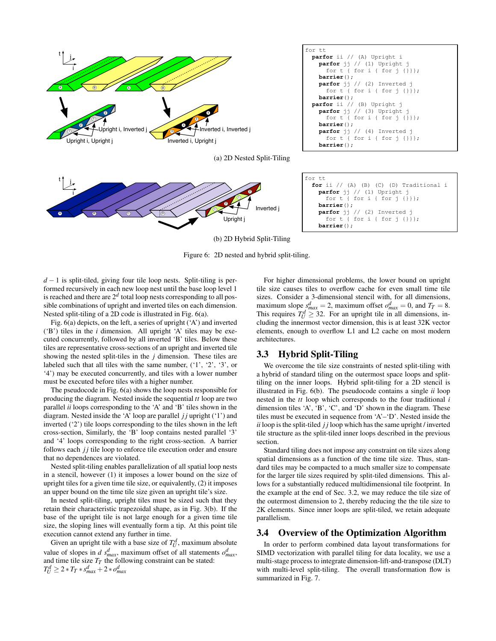





for tt **for** ii // (A) (B) (C) (D) Traditional i **parfor** jj // (1) Upright j for t { for i { for j {}}}; **barrier**(); **parfor** jj // (2) Inverted j for t { for i { for j {}}}; **barrier**();

(b) 2D Hybrid Split-Tiling

Figure 6: 2D nested and hybrid split-tiling.

*d* − 1 is split-tiled, giving four tile loop nests. Split-tiling is performed recursively in each new loop nest until the base loop level 1 is reached and there are  $2<sup>d</sup>$  total loop nests corresponding to all possible combinations of upright and inverted tiles on each dimension. Nested split-tiling of a 2D code is illustrated in Fig. 6(a).

Fig. 6(a) depicts, on the left, a series of upright ('A') and inverted ('B') tiles in the *i* dimension. All upright 'A' tiles may be executed concurrently, followed by all inverted 'B' tiles. Below these tiles are representative cross-sections of an upright and inverted tile showing the nested split-tiles in the *j* dimension. These tiles are labeled such that all tiles with the same number, ('1', '2', '3', or '4') may be executed concurrently, and tiles with a lower number must be executed before tiles with a higher number.

The pseudocode in Fig. 6(a) shows the loop nests responsible for producing the diagram. Nested inside the sequential *tt* loop are two parallel *ii* loops corresponding to the 'A' and 'B' tiles shown in the diagram. Nested inside the 'A' loop are parallel *j j* upright ('1') and inverted ('2') tile loops corresponding to the tiles shown in the left cross-section, Similarly, the 'B' loop contains nested parallel '3' and '4' loops corresponding to the right cross-section. A barrier follows each *jj* tile loop to enforce tile execution order and ensure that no dependences are violated.

Nested split-tiling enables parallelization of all spatial loop nests in a stencil, however (1) it imposes a lower bound on the size of upright tiles for a given time tile size, or equivalently, (2) it imposes an upper bound on the time tile size given an upright tile's size.

In nested split-tiling, upright tiles must be sized such that they retain their characteristic trapezoidal shape, as in Fig. 3(b). If the base of the upright tile is not large enough for a given time tile size, the sloping lines will eventually form a tip. At this point tile execution cannot extend any further in time.

Given an upright tile with a base size of  $T_U^d$ , maximum absolute value of slopes in *d*  $s_{max}^d$ , maximum offset of all statements  $o_{max}^d$ , and time tile size *TT* the following constraint can be stated:  $T_U^d \ge 2 * T_T * s_{max}^d + 2 * o_{max}^d$ 

For higher dimensional problems, the lower bound on upright tile size causes tiles to overflow cache for even small time tile sizes. Consider a 3-dimensional stencil with, for all dimensions, maximum slope  $s_{max}^d = 2$ , maximum offset  $o_{max}^d = 0$ , and  $T_T = 8$ . This requires  $T_U^d \geq 32$ . For an upright tile in all dimensions, including the innermost vector dimension, this is at least 32K vector elements, enough to overflow L1 and L2 cache on most modern architectures.

#### 3.3 Hybrid Split-Tiling

We overcome the tile size constraints of nested split-tiling with a hybrid of standard tiling on the outermost space loops and splittiling on the inner loops. Hybrid split-tiling for a 2D stencil is illustrated in Fig. 6(b). The pseudocode contains a single *ii* loop nested in the *tt* loop which corresponds to the four traditional *i* dimension tiles 'A', 'B', 'C', and 'D' shown in the diagram. These tiles must be executed in sequence from 'A'–'D'. Nested inside the *ii* loop is the split-tiled *j j* loop which has the same upright / inverted tile structure as the split-tiled inner loops described in the previous section.

Standard tiling does not impose any constraint on tile sizes along spatial dimensions as a function of the time tile size. Thus, standard tiles may be compacted to a much smaller size to compensate for the larger tile sizes required by split-tiled dimensions. This allows for a substantially reduced multidimensional tile footprint. In the example at the end of Sec. 3.2, we may reduce the tile size of the outermost dimension to 2, thereby reducing the the tile size to 2K elements. Since inner loops are split-tiled, we retain adequate parallelism.

## 3.4 Overview of the Optimization Algorithm

In order to perform combined data layout transformations for SIMD vectorization with parallel tiling for data locality, we use a multi-stage process to integrate dimension-lift-and-transpose (DLT) with multi-level split-tiling. The overall transformation flow is summarized in Fig. 7.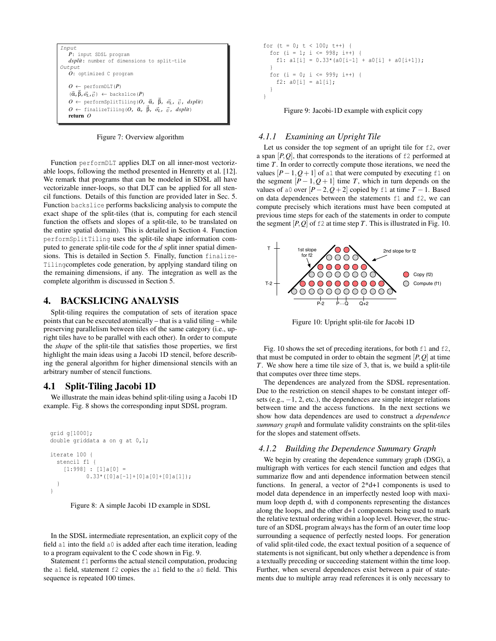

Figure 7: Overview algorithm

Function performDLT applies DLT on all inner-most vectorizable loops, following the method presented in Henretty et al. [12]. We remark that programs that can be modeled in SDSL all have vectorizable inner-loops, so that DLT can be applied for all stencil functions. Details of this function are provided later in Sec. 5. Function backslice performs backslicing analysis to compute the exact shape of the split-tiles (that is, computing for each stencil function the offsets and slopes of a split-tile, to be translated on the entire spatial domain). This is detailed in Section 4. Function performSplitTiling uses the split-tile shape information computed to generate split-tile code for the *d* split inner spatial dimensions. This is detailed in Section 5. Finally, function finalize-Tilingcompletes code generation, by applying standard tiling on the remaining dimensions, if any. The integration as well as the complete algorithm is discussed in Section 5.

#### 4. BACKSLICING ANALYSIS

Split-tiling requires the computation of sets of iteration space points that can be executed atomically – that is a valid tiling – while preserving parallelism between tiles of the same category (i.e., upright tiles have to be parallel with each other). In order to compute the *shape* of the split-tile that satisfies those properties, we first highlight the main ideas using a Jacobi 1D stencil, before describing the general algorithm for higher dimensional stencils with an arbitrary number of stencil functions.

## 4.1 Split-Tiling Jacobi 1D

We illustrate the main ideas behind split-tiling using a Jacobi 1D example. Fig. 8 shows the corresponding input SDSL program.

```
grid g[1000];
double griddata a on g at 0,1;
iterate 100 {
  stencil f1 {
    [1:998] : [1]a[0] =
           0.33*(0]a[-1]+[0]a[0]+[0]a[1]);
  }
}
```


In the SDSL intermediate representation, an explicit copy of the field a1 into the field a0 is added after each time iteration, leading to a program equivalent to the C code shown in Fig. 9.

Statement f1 performs the actual stencil computation, producing the a1 field, statement f2 copies the a1 field to the a0 field. This sequence is repeated 100 times.

```
for (t = 0; t < 100; t++) {
  for (i = 1; i \le 998; i++) {
    f1: a1[i] = 0.33*(a0[i-1] + a0[i] + a0[i+1]);
  }
  for (i = 0; i <= 999; i++) {
    f2: a0[i] = a1[i];}
}
```
Figure 9: Jacobi-1D example with explicit copy

#### *4.1.1 Examining an Upright Tile*

Let us consider the top segment of an upright tile for f2, over a span  $[P,Q]$ , that corresponds to the iterations of  $\epsilon$ 2 performed at time *T*. In order to correctly compute those iterations, we need the values  $[P-1, Q+1]$  of a1 that were computed by executing f1 on the segment  $[P-1, Q+1]$  time *T*, which in turn depends on the values of a0 over  $[P-2, Q+2]$  copied by f1 at time  $T-1$ . Based on data dependences between the statements f1 and f2, we can compute precisely which iterations must have been computed at previous time steps for each of the statements in order to compute the segment  $[P,Q]$  of  $\pm 2$  at time step *T*. This is illustrated in Fig. 10.



Figure 10: Upright split-tile for Jacobi 1D

Fig. 10 shows the set of preceding iterations, for both  $\pm 1$  and  $\pm 2$ , that must be computed in order to obtain the segment  $[P, Q]$  at time *T*. We show here a time tile size of 3, that is, we build a split-tile that computes over three time steps.

The dependences are analyzed from the SDSL representation. Due to the restriction on stencil shapes to be constant integer offsets (e.g.,  $-1$ , 2, etc.), the dependences are simple integer relations between time and the access functions. In the next sections we show how data dependences are used to construct a *dependence summary graph* and formulate validity constraints on the split-tiles for the slopes and statement offsets.

## *4.1.2 Building the Dependence Summary Graph*

We begin by creating the dependence summary graph (DSG), a multigraph with vertices for each stencil function and edges that summarize flow and anti dependence information between stencil functions. In general, a vector of 2\*d+1 components is used to model data dependence in an imperfectly nested loop with maximum loop depth d, with d components representing the distances along the loops, and the other d+1 components being used to mark the relative textual ordering within a loop level. However, the structure of an SDSL program always has the form of an outer time loop surrounding a sequence of perfectly nested loops. For generation of valid split-tiled code, the exact textual position of a sequence of statements is not significant, but only whether a dependence is from a textually preceding or succeeding statement within the time loop. Further, when several dependences exist between a pair of statements due to multiple array read references it is only necessary to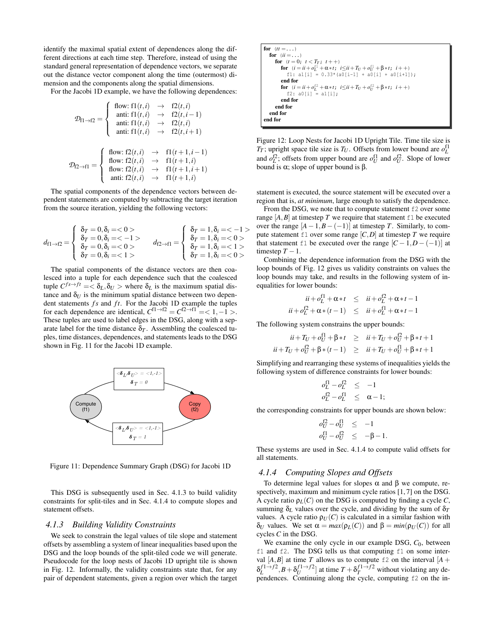identify the maximal spatial extent of dependences along the different directions at each time step. Therefore, instead of using the standard general representation of dependence vectors, we separate out the distance vector component along the time (outermost) dimension and the components along the spatial dimensions.

For the Jacobi 1D example, we have the following dependences:

$$
\mathcal{D}_{\text{FI}\rightarrow\text{f2}} = \begin{cases}\n\text{flow: } f1(t,i) & \rightarrow f2(t,i) \\
\text{anti: } f1(t,i) & \rightarrow f2(t,i-1) \\
\text{anti: } f1(t,i) & \rightarrow f2(t,i) \\
\text{anti: } f1(t,i) & \rightarrow f2(t,i+1) \\
\text{flow: } f2(t,i) & \rightarrow f1(t+1,i-1) \\
\text{flow: } f2(t,i) & \rightarrow f1(t+1,i) \\
\text{flow: } f2(t,i) & \rightarrow f1(t+1,i+1) \\
\text{anti: } f2(t,i) & \rightarrow f1(t+1,i) \\
\end{cases}
$$

The spatial components of the dependence vectors between dependent statements are computed by subtracting the target iteration from the source iteration, yielding the following vectors:

$$
d_{f1 \to f2} = \begin{cases} \n\delta_T = 0, \delta_i = 0 > \\
\delta_T = 0, \delta_i = 0 > \\
\delta_T = 0, \delta_i = 0 > \\
\delta_T = 0, \delta_i = 1 > \n\end{cases} \quad d_{f2 \to f1} = \begin{cases} \n\delta_T = 1, \delta_i = 0 > \\
\delta_T = 1, \delta_i = 0 > \\
\delta_T = 1, \delta_i = 1 > \\
\delta_T = 1, \delta_i = 0 > \n\end{cases}
$$

The spatial components of the distance vectors are then coalesced into a tuple for each dependence such that the coalesced tuple  $C^{fs \to ft} = \langle \delta_L, \delta_U \rangle$  where  $\delta_L$  is the maximum spatial distance and  $\delta_U$  is the minimum spatial distance between two dependent statements *fs* and *ft*. For the Jacobi 1D example the tuples for each dependence are identical,  $C^{[1 \rightarrow f2]} = C^{[2 \rightarrow f1]} = 1, -1$ . These tuples are used to label edges in the DSG, along with a separate label for the time distance  $\delta_T$ . Assembling the coalesced tuples, time distances, dependences, and statements leads to the DSG shown in Fig. 11 for the Jacobi 1D example.



Figure 11: Dependence Summary Graph (DSG) for Jacobi 1D

This DSG is subsequently used in Sec. 4.1.3 to build validity constraints for split-tiles and in Sec. 4.1.4 to compute slopes and statement offsets.

#### *4.1.3 Building Validity Constraints*

We seek to constrain the legal values of tile slope and statement offsets by assembling a system of linear inequalities based upon the DSG and the loop bounds of the split-tiled code we will generate. Pseudocode for the loop nests of Jacobi 1D upright tile is shown in Fig. 12. Informally, the validity constraints state that, for any pair of dependent statements, given a region over which the target

for 
$$
(tt = ...)
$$
  
\nfor  $(ii = ...)$   
\nfor  $(i = 0; t < T_T; t++)$   
\nfor  $(t = ii + \sigma_L^{f1} + \alpha * t; i \le ii + T_U + \sigma_U^{f1} + \beta * t; i++)$   
\n $f1: a1[i] = 0.33*(a0[i-1] + a0[i] + a0[i+1]);$   
\nend for  
\nfor  $(i = ii + \sigma_L^{f2} + \alpha * t; i \le ii + T_U + \sigma_U^{f2} + \beta * t; i++)$   
\n $f2: a0[i] = a1[i];$   
\nend for  
\nend for  
\nend for  
\nend for  
\nend for  
\nend for  
\nend for

Figure 12: Loop Nests for Jacobi 1D Upright Tile. Time tile size is *T*<sub>*T*</sub>; upright space tile size is *T*<sub>*U*</sub>. Offsets from lower bound are  $o_L^{\text{f1}}$ and  $o_L^{\text{f2}}$ ; offsets from upper bound are  $o_U^{\text{f1}}$  and  $o_U^{\text{f2}}$ . Slope of lower bound is  $\alpha$ ; slope of upper bound is β.

statement is executed, the source statement will be executed over a region that is, *at minimum*, large enough to satisfy the dependence.

From the DSG, we note that to compute statement  $f2$  over some range  $[A, B]$  at timestep *T* we require that statement  $f1$  be executed over the range  $[A-1, B-(-1)]$  at timestep *T*. Similarly, to compute statement  $f1$  over some range  $[C,D]$  at timestep  $T$  we require that statement f1 be executed over the range  $[C-1, D-(-1)]$  at timestep  $T - 1$ .

Combining the dependence information from the DSG with the loop bounds of Fig. 12 gives us validity constraints on values the loop bounds may take, and results in the following system of inequalities for lower bounds:

$$
ii + o_L^{f1} + \alpha * t \leq ii + o_L^{f2} + \alpha * t - 1
$$
  

$$
ii + o_L^{f2} + \alpha * (t - 1) \leq ii + o_L^{f1} + \alpha * t - 1
$$

The following system constrains the upper bounds:

$$
ii + T_U + o_U^{f1} + \beta * t \geq ii + T_U + o_U^{f2} + \beta * t + 1
$$
  

$$
ii + T_U + o_U^{f2} + \beta * (t - 1) \geq ii + T_U + o_U^{f1} + \beta * t + 1
$$

Simplifying and rearranging these systems of inequalities yields the following system of difference constraints for lower bounds:

$$
\begin{aligned}\n o_L^{\text{f1}} - o_L^{\text{f2}} &\leq -1 \\
 o_L^{\text{f2}} - o_L^{\text{f1}} &\leq \alpha - 1;\n \end{aligned}
$$

the corresponding constraints for upper bounds are shown below:

$$
\begin{array}{rcl}\n\sigma_U^{f2} - \sigma_U^{f1} & \leq & -1 \\
\sigma_U^{f1} - \sigma_U^{f2} & \leq & -\beta - 1.\n\end{array}
$$

These systems are used in Sec. 4.1.4 to compute valid offsets for all statements.

#### *4.1.4 Computing Slopes and Offsets*

To determine legal values for slopes α and β we compute, respectively, maximum and minimum cycle ratios [1, 7] on the DSG. A cycle ratio  $\rho_L(C)$  on the DSG is computed by finding a cycle *C*, summing  $\delta_L$  values over the cycle, and dividing by the sum of  $\delta_T$ values. A cycle ratio  $\rho_U(C)$  is calculated in a similar fashion with δ*U* values. We set  $\alpha = max(\rho_L(C))$  and  $\beta = min(\rho_U(C))$  for all cycles *C* in the DSG.

We examine the only cycle in our example DSG, *C*0, between f1 and f2. The DSG tells us that computing f1 on some interval  $[A, B]$  at time *T* allows us to compute f2 on the interval  $[A +$  $\delta_L^{f1 \to f2}, B + \delta_U^{f1 \to f2}$  at time  $T + \delta_T^{f1 \to f2}$  without violating any dependences. Continuing along the cycle, computing f2 on the in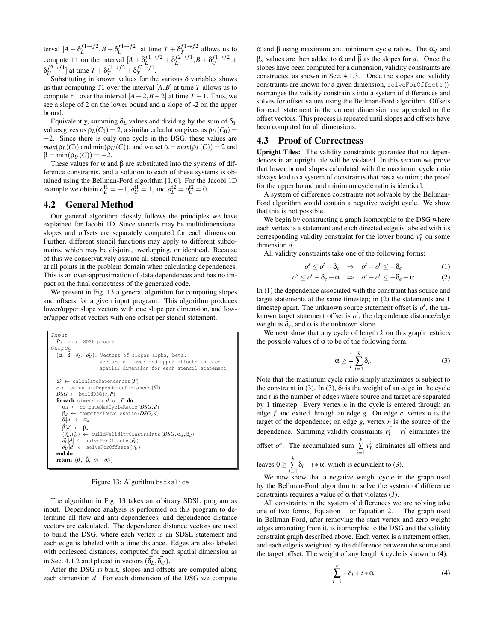terval  $[A + \delta_L^{f1 \to f2}, B + \delta_U^{f1 \to f2}]$  at time  $T + \delta_T^{f1 \to f2}$  allows us to compute f1 on the interval  $[A + \delta_L^{f1 \to f2} + \delta_L^{f2 \to f1}, B + \delta_U^{f1 \to f2} +$  $\delta_U^{f2 \to f1}$  at time  $T + \delta_T^{f1 \to f2} + \delta_T^{f2 \to f1}$ .

Substituting in known values for the various  $\delta$  variables shows us that computing  $f1$  over the interval  $[A, B]$  at time  $T$  allows us to compute f1 over the interval  $[A+2, B-2]$  at time  $T+1$ . Thus, we see a slope of 2 on the lower bound and a slope of -2 on the upper bound.

Equivalently, summing  $\delta_L$  values and dividing by the sum of  $\delta_T$ values gives us  $\rho_L(C_0) = 2$ ; a similar calculation gives us  $\rho_U(C_0) =$ −2. Since there is only one cycle in the DSG, these values are  $max(p<sub>L</sub>(C))$  and  $min(p<sub>U</sub>(C))$ , and we set  $\alpha = max(p<sub>L</sub>(C)) = 2$  and  $\beta = \min(\rho_U(C)) = -2.$ 

These values for  $\alpha$  and  $\beta$  are substituted into the systems of difference constraints, and a solution to each of these systems is obtained using the Bellman-Ford algorithm [1, 6]. For the Jacobi 1D example we obtain  $o_L^{f1} = -1$ ,  $o_U^{f1} = 1$ , and  $o_L^{f2} = o_U^{f2} = 0$ .

## 4.2 General Method

Our general algorithm closely follows the principles we have explained for Jacobi 1D. Since stencils may be multidimensional slopes and offsets are separately computed for each dimension. Further, different stencil functions may apply to different subdomains, which may be disjoint, overlapping, or identical. Because of this we conservatively assume all stencil functions are executed at all points in the problem domain when calculating dependences. This is an over-approximation of data dependences and has no impact on the final correctness of the generated code.

We present in Fig. 13 a general algorithm for computing slopes and offsets for a given input program. This algorithm produces lower/upper slope vectors with one slope per dimension, and lower/upper offset vectors with one offset per stencil statement.

```
Input
  P: input SDSL program
Output
   ({\vec{\alpha}}, {\vec{\beta}}, {\vec{o}_L}, {\vec{o}_U}): Vectors of slopes alpha, beta.
                        Vectors of lower and upper offsets in each
                        spatial dimension for each stencil statement
  \mathcal{D} \leftarrow calculateDependences(P)
  s ← calculateDependenceDistances(D)
  DSG \leftarrow buildDSG(s, P)
  foreach dimension d of P do
     αd ← computeMaxCycleRatio(DSG,d)
     βd ← computeMinCycleRatio(DSG,d)
     \vec{\alpha}[d] \leftarrow \alpha_d\vec{\beta}[d] \leftarrow \beta_d(\vec{v}_L, \vec{v}_U) \leftarrow buildValidityConstraints(DSG, \alpha_d, \beta_d)
     \vec{\sigma}_L[\vec{d}] \leftarrow solveForOffsets(\vec{v}_L)
     \vec{v}_U[d] \leftarrow solveForOffsets(\vec{v}_Uend do
   return (α, β, σ<u>i</u>, σi)
```
Figure 13: Algorithm backslice

The algorithm in Fig. 13 takes an arbitrary SDSL program as input. Dependence analysis is performed on this program to determine all flow and anti dependences, and dependence distance vectors are calculated. The dependence distance vectors are used to build the DSG, where each vertex is an SDSL statement and each edge is labeled with a time distance. Edges are also labeled with coalesced distances, computed for each spatial dimension as in Sec. 4.1.2 and placed in vectors  $(\vec{\delta}_L, \vec{\delta}_U)$ .

After the DSG is built, slopes and offsets are computed along each dimension *d*. For each dimension of the DSG we compute α and β using maximum and minimum cycle ratios. The α*<sup>d</sup>* and  $β<sub>d</sub>$  values are then added to  $\vec{\alpha}$  and  $\vec{\beta}$  as the slopes for *d*. Once the slopes have been computed for a dimension, validity constraints are constructed as shown in Sec. 4.1.3. Once the slopes and validity constraints are known for a given dimension, solveForOffsets() rearranges the validity constraints into a system of differences and solves for offset values using the Bellman-Ford algorithm. Offsets for each statement in the current dimension are appended to the offset vectors. This process is repeated until slopes and offsets have been computed for all dimensions.

#### 4.3 Proof of Correctness

Upright Tiles: The validity constraints guarantee that no dependences in an upright tile will be violated. In this section we prove that lower bound slopes calculated with the maximum cycle ratio always lead to a system of constraints that has a solution; the proof for the upper bound and minimum cycle ratio is identical.

A system of difference constraints not solvable by the Bellman-Ford algorithm would contain a negative weight cycle. We show that this is not possible.

We begin by constructing a graph isomorphic to the DSG where each vertex is a statement and each directed edge is labeled with its corresponding validity constraint for the lower bound  $v_L^e$  on some dimension *d*.

All validity constraints take one of the following forms:

$$
o^s \leq o^t - \delta_e \quad \Rightarrow \quad o^s - o^t \leq -\delta_e \tag{1}
$$

$$
o^s \leq o^t - \delta_e + \alpha \quad \Rightarrow \quad o^s - o^t \leq -\delta_e + \alpha \tag{2}
$$

In (1) the dependence associated with the constraint has source and target statements at the same timestep; in (2) the statements are 1 timestep apart. The unknown source statement offset is  $o^s$ , the unknown target statement offset is  $o<sup>t</sup>$ , the dependence distance/edge weight is  $\delta_e$ , and  $\alpha$  is the unknown slope.

We next show that any cycle of length *k* on this graph restricts the possible values of  $\alpha$  to be of the following form:

$$
\alpha \ge \frac{1}{t} \sum_{i=1}^{k} \delta_i.
$$
 (3)

Note that the maximum cycle ratio simply maximizes  $\alpha$  subject to the constraint in (3). In (3),  $\delta_i$  is the weight of an edge in the cycle and *t* is the number of edges where source and target are separated by 1 timestep. Every vertex *n* in the cycle is entered through an edge *f* and exited through an edge *g*. On edge *e*, vertex *n* is the target of the dependence; on edge *g*, vertex *n* is the source of the dependence. Summing validity constraints  $v_L^f + v_L^g$  eliminates the offset  $o^n$ . The accumulated sum  $\sum_{i=1}^k v_L^i$  eliminates all offsets and *k*

leaves 
$$
0 \ge \sum_{i=1}^{n} \delta_i - t \cdot \alpha
$$
, which is equivalent to (3).

We now show that a negative weight cycle in the graph used by the Bellman-Ford algorithm to solve the system of difference constraints requires a value of  $\alpha$  that violates (3).

All constraints in the system of differences we are solving take one of two forms, Equation 1 or Equation 2. The graph used in Bellman-Ford, after removing the start vertex and zero-weight edges emanating from it, is isomorphic to the DSG and the validity constraint graph described above. Each vertex is a statement offset, and each edge is weighted by the difference between the source and the target offset. The weight of any length *k* cycle is shown in (4).

$$
\sum_{i=1}^{k} -\delta_i + t * \alpha \tag{4}
$$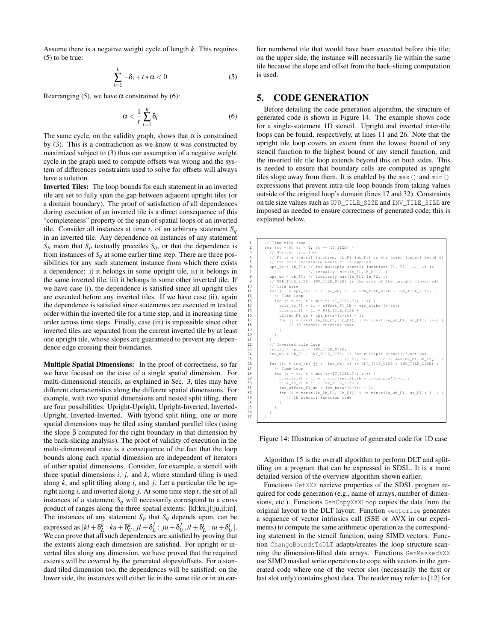Assume there is a negative weight cycle of length *k*. This requires (5) to be true:

$$
\sum_{i=1}^{k} -\delta_i + t * \alpha < 0 \tag{5}
$$

Rearranging (5), we have  $\alpha$  constrained by (6):

$$
\alpha < \frac{1}{t} \sum_{i=1}^{k} \delta_i \tag{6}
$$

The same cycle, on the validity graph, shows that  $\alpha$  is constrained by (3). This is a contradiction as we know  $\alpha$  was constructed by maximized subject to (3) thus our assumption of a negative weight cycle in the graph used to compute offsets was wrong and the system of differences constraints used to solve for offsets will always have a solution.

Inverted Tiles: The loop bounds for each statement in an inverted tile are set to fully span the gap between adjacent upright tiles (or a domain boundary). The proof of satisfaction of all dependences during execution of an inverted tile is a direct consequence of this "completeness" property of the span of spatial loops of an inverted tile. Consider all instances at time *t*, of an arbitrary statement  $S_q$ in an inverted tile. Any dependence on instances of any statement  $S_p$  mean that  $S_p$  textually precedes  $S_q$ , or that the dependence is from instances of  $S_q$  at some earlier time step. There are three possibilities for any such statement instance from which there exists a dependence: i) it belongs in some upright tile, ii) it belongs in the same inverted tile, iii) it belongs in some other inverted tile. If we have case (i), the dependence is satisfied since all upright tiles are executed before any inverted tiles. If we have case (ii), again the dependence is satisfied since statements are executed in textual order within the inverted tile for a time step, and in increasing time order across time steps. Finally, case (iii) is impossible since other inverted tiles are separated from the current inverted tile by at least one upright tile, whose slopes are guaranteed to prevent any dependence edge crossing their boundaries.

Multiple Spatial Dimensions: In the proof of correctness, so far we have focused on the case of a single spatial dimension. For multi-dimensional stencils, as explained in Sec. 3, tiles may have different characteristics along the different spatial dimensions. For example, with two spatial dimensions and nested split tiling, there are four possibilities: Upright-Upright, Upright-Inverted, Inverted-Upright, Inverted-Inverted. With hybrid split tiling, one or more spatial dimensions may be tiled using standard parallel tiles (using the slope  $β$  computed for the right boundary in that dimension by the back-slicing analysis). The proof of validity of execution in the multi-dimensional case is a consequence of the fact that the loop bounds along each spatial dimension are independent of iterators of other spatial dimensions. Consider, for example, a stencil with three spatial dimensions *i*, *j*, and *k*, where standard tiling is used along *k*, and split tiling along *i*, and *j*. Let a particular tile be upright along *i*, and inverted along *j*. At some time step *t*, the set of all instances of a statement  $S_q$  will necessarily correspond to a cross product of ranges along the three spatial extents: [kl:ku,jl:ju,il:iu]. The instances of any statement  $S_p$  that  $S_q$  depends upon, can be expressed as  $[kl + \delta^k_L : ku + \delta^k_U, jl + \delta^j_L : ju + \delta^j_U, il + \delta^i_L : iu + \delta^i_L]$ . We can prove that all such dependences are satisfied by proving that the extents along each dimension are satisfied. For upright or inverted tiles along any dimension, we have proved that the required extents will be covered by the generated slopes/offsets. For a standard tiled dimension too, the dependences will be satisfied: on the lower side, the instances will either lie in the same tile or in an earlier numbered tile that would have been executed before this tile; on the upper side, the instance will necessarily lie within the same tile because the slope and offset from the back-slicing computation is used.

## 5. CODE GENERATION

Before detailing the code generation algorithm, the structure of generated code is shown in Figure 14. The example shows code for a single-statement 1D stencil. Upright and inverted inter-tile loops can be found, respectively, at lines 11 and 26. Note that the upright tile loop covers an extent from the lowest bound of any stencil function to the highest bound of any stencil function, and the inverted tile tile loop extends beyond this on both sides. This is needed to ensure that boundary cells are computed as upright tiles slope away from them. It is enabled by the  $max()$  and  $min()$ expressions that prevent intra-tile loop bounds from taking values outside of the original loop's domain (lines 17 and 32). Constraints on tile size values such as UPR\_TILE\_SIZE and INV\_TILE\_SIZE are imposed as needed to ensure correctness of generated code; this is explained below.

```
1 // Time tile loop
2 for ( tt = 0; tt < T; tt += TT_SIZE ) {
3 // Upright tile loop
4 // F1 is a stencil function , lb_F1 ( ub_F1 ) is the lower ( upper) bound of
  5 // the grid coordinate where F1 is applied<br>
0 upr_lb = lb_F1; // for multiple stencil functions F1, F2, ..., it is<br>
7 // actually min (1b_F1, lb_F2,...)<br>
8 upr_ub = ub_F1; // Similarly max (1b_F1, lb_F2...)
                      THE SIZE (INV_TILE_SIZE) is the size of the upright (inverted)
10 | // tile base<br>11 | for (ii = upr_lb; ii < upr_ub; ii += UPR_TILE_SIZE + INV_TILE_SIZE) {
12 // Time loop<br>
13 for (t = tt; t < min (tt+TT_SIZE,T); t++) {<br>
14 tile_lb_F1 = ii + offset_F1_lb + upr_alpha*(t-tt);<br>
15 tile_ub_F1 = ii + UPR_TILE_SIZE +
16 offset_F1_ub + upr_beta*(t-tt) - 1;<br>17 for (i = max(tile_1b_F1, 1b_F1); ii-+) {<br>18 // 1D stencil function code.
\begin{array}{c|c}\n 19 & & & \n \hline\n 20 & & & \n \end{array}20 }
22 // Inverted tile loop<br>23 inv 1b = upr 1b - INV
1923<br>
1924 inv_ub = ub_F1 + INV_TILE_SIZE; // for multiple stencil functions<br>
25<br>
1926 for (ii = inv_lb; jj < inv_ub; ii += UPR_TILE_SIZE + INV_TILE_SIZE) {<br>
1926 for (ii = inv_lb; jj < inv_ub; ii += UPR_TILE_SIZE + INV_TI
27 // Time loop<br>28 for (t = tt; t < min (tt+TT_SIZE,T); t++) {
29 tile_lb_F1 = ii + inv_offset_F1_1b + inv_alpha*(t-tt);<br>30 tile_ub_F1 = ii + INV_TILE_SIZE +
31 inv_offset_F1_ub + inv_beta *(t-tt) - 1;<br>32 for (i = max(tile_1b_F1, 1b_F1); i <= min(tile_ub_F1, ub_F1); i++) {<br>33 // 1D stencil function code
36 }
37 }
```
 $\frac{21}{22}$ 

 $\frac{32}{33}$ <br>34 35 }

Figure 14: Illustration of structure of generated code for 1D case

Algorithm 15 is the overall algorithm to perform DLT and splittiling on a program that can be expressed in SDSL. It is a more detailed version of the overview algorithm shown earlier.

Functions GetXXX retrieve properties of the SDSL program required for code generation (e.g., name of arrays, number of dimensions, etc.). Functions GenCopyXXXLoop copies the data from the original layout to the DLT layout. Function vectorize generates a sequence of vector intrinsics call (SSE or AVX in our experiments) to compute the same arithmetic operation as the corresponding statement in the stencil function, using SIMD vectors. Function ChangeBoundsToDLT adapts/creates the loop structure scanning the dimension-lifted data arrays. Functions GenMaskedXXX use SIMD masked write operations to cope with vectors in the generated code where one of the vector slot (necessarily the first or last slot only) contains ghost data. The reader may refer to [12] for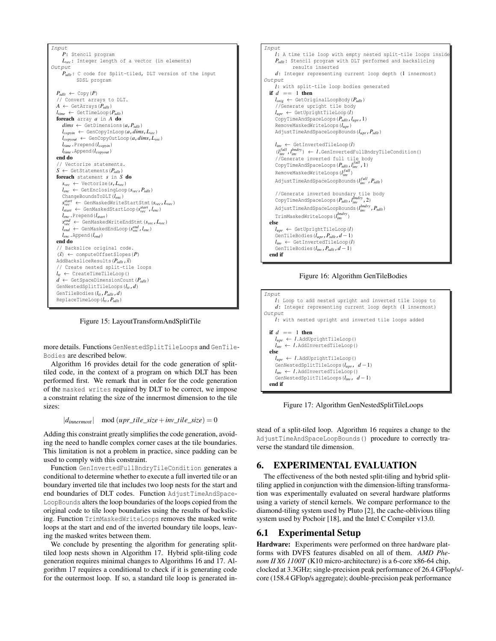

Figure 15: LayoutTransformAndSplitTile

more details. Functions GenNestedSplitTileLoops and GenTile-Bodies are described below.

Algorithm 16 provides detail for the code generation of splittiled code, in the context of a program on which DLT has been performed first. We remark that in order for the code generation of the masked writes required by DLT to be correct, we impose a constraint relating the size of the innermost dimension to the tile sizes:

$$
|d_{innermost}| \mod (upr\_tile\_size + inv\_tile\_size) = 0
$$

Adding this constraint greatly simplifies the code generation, avoiding the need to handle complex corner cases at the tile boundaries. This limitation is not a problem in practice, since padding can be used to comply with this constraint.

Function GenInvertedFullBndryTileCondition generates a conditional to determine whether to execute a full inverted tile or an boundary inverted tile that includes two loop nests for the start and end boundaries of DLT codes. Function AdjustTimeAndSpace-LoopBounds alters the loop boundaries of the loops copied from the original code to tile loop boundaries using the results of backslicing. Function TrimMaskedWriteLoops removes the masked write loops at the start and end of the inverted boundary tile loops, leaving the masked writes between them.

We conclude by presenting the algorithm for generating splittiled loop nests shown in Algorithm 17. Hybrid split-tiling code generation requires minimal changes to Algorithms 16 and 17. Algorithm 17 requires a conditional to check if it is generating code for the outermost loop. If so, a standard tile loop is generated in-



Figure 16: Algorithm GenTileBodies



Figure 17: Algorithm GenNestedSplitTileLoops

stead of a split-tiled loop. Algorithm 16 requires a change to the AdjustTimeAndSpaceLoopBounds() procedure to correctly traverse the standard tile dimension.

#### 6. EXPERIMENTAL EVALUATION

The effectiveness of the both nested split-tiling and hybrid splittiling applied in conjunction with the dimension-lifting transformation was experimentally evaluated on several hardware platforms using a variety of stencil kernels. We compare performance to the diamond-tiling system used by Pluto [2], the cache-oblivious tiling system used by Pochoir [18], and the Intel C Compiler v13.0.

## 6.1 Experimental Setup

Hardware: Experiments were performed on three hardware platforms with DVFS features disabled on all of them. *AMD Phenom II X6 1100T* (K10 micro-architecture) is a 6-core x86-64 chip, clocked at 3.3GHz; single-precision peak performance of 26.4 GFlop/s/ core (158.4 GFlop/s aggregate); double-precision peak performance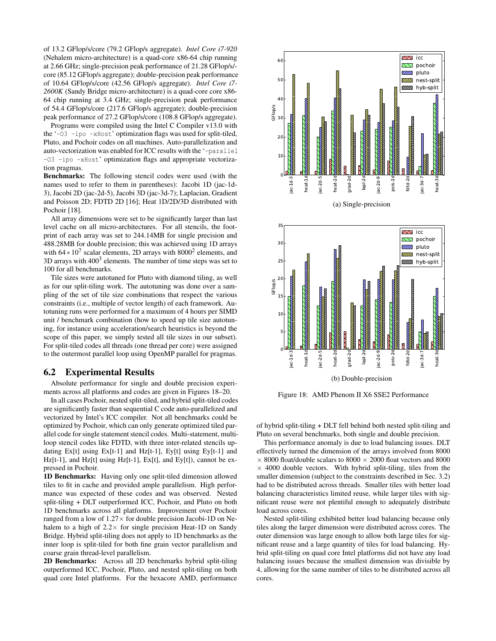of 13.2 GFlop/s/core (79.2 GFlop/s aggregate). *Intel Core i7-920* (Nehalem micro-architecture) is a quad-core x86-64 chip running at 2.66 GHz; single-precision peak performance of 21.28 GFlop/s/ core (85.12 GFlop/s aggregate); double-precision peak performance of 10.64 GFlop/s/core (42.56 GFlop/s aggregate). *Intel Core i7- 2600K* (Sandy Bridge micro-architecture) is a quad-core core x86- 64 chip running at 3.4 GHz; single-precision peak performance of 54.4 GFlop/s/core (217.6 GFlop/s aggregate); double-precision peak performance of 27.2 GFlop/s/core (108.8 GFlop/s aggregate).

Programs were compiled using the Intel C Compiler v13.0 with the '-O3 -ipo -xHost' optimization flags was used for split-tiled, Pluto, and Pochoir codes on all machines. Auto-parallelization and auto-vectorization was enabled for ICC results with the '-parallel -O3 -ipo -xHost' optimization flags and appropriate vectorization pragmas.

Benchmarks: The following stencil codes were used (with the names used to refer to them in parentheses): Jacobi 1D (jac-1d-3), Jacobi 2D (jac-2d-5), Jacobi 3D (jac-3d-7); Laplacian, Gradient and Poisson 2D; FDTD 2D [16]; Heat 1D/2D/3D distributed with Pochoir [18].

All array dimensions were set to be significantly larger than last level cache on all micro-architectures. For all stencils, the footprint of each array was set to 244.14MB for single precision and 488.28MB for double precision; this was achieved using 1D arrays with  $64 * 10^7$  scalar elements, 2D arrays with  $8000^2$  elements, and  $3D$  arrays with  $400<sup>3</sup>$  elements. The number of time steps was set to 100 for all benchmarks.

Tile sizes were autotuned for Pluto with diamond tiling, as well as for our split-tiling work. The autotuning was done over a sampling of the set of tile size combinations that respect the various constraints (i.e., multiple of vector length) of each framework. Autotuning runs were performed for a maximum of 4 hours per SIMD unit / benchmark combination (how to speed up tile size autotuning, for instance using acceleration/search heuristics is beyond the scope of this paper, we simply tested all tile sizes in our subset). For split-tiled codes all threads (one thread per core) were assigned to the outermost parallel loop using OpenMP parallel for pragmas.

#### 6.2 Experimental Results

Absolute performance for single and double precision experiments across all platforms and codes are given in Figures 18–20.

In all cases Pochoir, nested split-tiled, and hybrid split-tiled codes are significantly faster than sequential C code auto-parallelized and vectorized by Intel's ICC compiler. Not all benchmarks could be optimized by Pochoir, which can only generate optimized tiled parallel code for single statement stencil codes. Multi-statement, multiloop stencil codes like FDTD, with three inter-related stencils updating  $Ex[t]$  using  $Ex[t-1]$  and  $Hz[t-1]$ ,  $Ey[t]$  using  $Ey[t-1]$  and Hz[t-1], and Hz[t] using Hz[t-1],  $Ex[t]$ , and  $Ey[t]$ ), cannot be expressed in Pochoir.

1D Benchmarks: Having only one split-tiled dimension allowed tiles to fit in cache and provided ample parallelism. High performance was expected of these codes and was observed. Nested split-tiling + DLT outperformed ICC, Pochoir, and Pluto on both 1D benchmarks across all platforms. Improvement over Pochoir ranged from a low of  $1.27 \times$  for double precision Jacobi-1D on Nehalem to a high of  $2.2 \times$  for single precision Heat-1D on Sandy Bridge. Hybrid split-tiling does not apply to 1D benchmarks as the inner loop is split-tiled for both fine grain vector parallelism and coarse grain thread-level parallelism.

2D Benchmarks: Across all 2D benchmarks hybrid split-tiling outperformed ICC, Pochoir, Pluto, and nested split-tiling on both quad core Intel platforms. For the hexacore AMD, performance





Figure 18: AMD Phenom II X6 SSE2 Performance

of hybrid split-tiling + DLT fell behind both nested split-tiling and Pluto on several benchmarks, both single and double precision.

This performance anomaly is due to load balancing issues. DLT effectively turned the dimension of the arrays involved from 8000  $\times$  8000 float/double scalars to 8000  $\times$  2000 float vectors and 8000  $\times$  4000 double vectors. With hybrid split-tiling, tiles from the smaller dimension (subject to the constraints described in Sec. 3.2) had to be distributed across threads. Smaller tiles with better load balancing characteristics limited reuse, while larger tiles with significant reuse were not plentiful enough to adequately distribute load across cores.

Nested split-tiling exhibited better load balancing because only tiles along the larger dimension were distributed across cores. The outer dimension was large enough to allow both large tiles for significant reuse and a large quantity of tiles for load balancing. Hybrid split-tiling on quad core Intel platforms did not have any load balancing issues because the smallest dimension was divisible by 4, allowing for the same number of tiles to be distributed across all cores.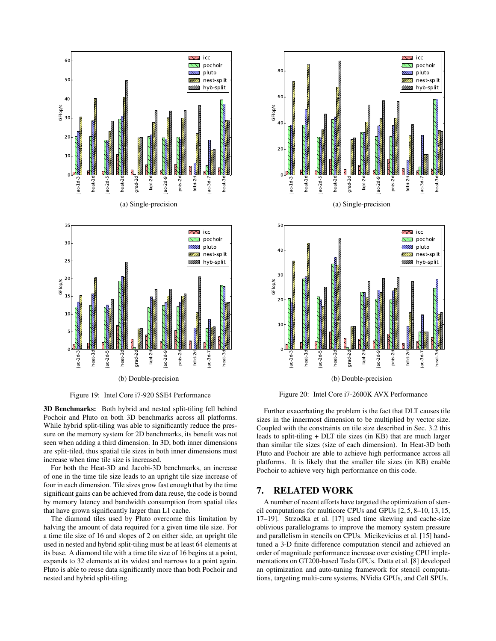

Figure 19: Intel Core i7-920 SSE4 Performance

3D Benchmarks: Both hybrid and nested split-tiling fell behind Pochoir and Pluto on both 3D benchmarks across all platforms. While hybrid split-tiling was able to significantly reduce the pressure on the memory system for 2D benchmarks, its benefit was not seen when adding a third dimension. In 3D, both inner dimensions are split-tiled, thus spatial tile sizes in both inner dimensions must increase when time tile size is increased.

For both the Heat-3D and Jacobi-3D benchmarks, an increase of one in the time tile size leads to an upright tile size increase of four in each dimension. Tile sizes grow fast enough that by the time significant gains can be achieved from data reuse, the code is bound by memory latency and bandwidth consumption from spatial tiles that have grown significantly larger than L1 cache.

The diamond tiles used by Pluto overcome this limitation by halving the amount of data required for a given time tile size. For a time tile size of 16 and slopes of 2 on either side, an upright tile used in nested and hybrid split-tiling must be at least 64 elements at its base. A diamond tile with a time tile size of 16 begins at a point, expands to 32 elements at its widest and narrows to a point again. Pluto is able to reuse data significantly more than both Pochoir and nested and hybrid split-tiling.





(b) Double-precision

Figure 20: Intel Core i7-2600K AVX Performance

Further exacerbating the problem is the fact that DLT causes tile sizes in the innermost dimension to be multiplied by vector size. Coupled with the constraints on tile size described in Sec. 3.2 this leads to split-tiling + DLT tile sizes (in KB) that are much larger than similar tile sizes (size of each dimension). In Heat-3D both Pluto and Pochoir are able to achieve high performance across all platforms. It is likely that the smaller tile sizes (in KB) enable Pochoir to achieve very high performance on this code.

#### 7. RELATED WORK

A number of recent efforts have targeted the optimization of stencil computations for multicore CPUs and GPUs [2, 5, 8–10, 13, 15, 17–19]. Strzodka et al. [17] used time skewing and cache-size oblivious parallelograms to improve the memory system pressure and parallelism in stencils on CPUs. Micikevicius et al. [15] handtuned a 3-D finite difference computation stencil and achieved an order of magnitude performance increase over existing CPU implementations on GT200-based Tesla GPUs. Datta et al. [8] developed an optimization and auto-tuning framework for stencil computations, targeting multi-core systems, NVidia GPUs, and Cell SPUs.